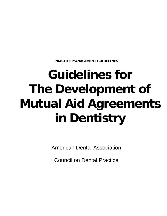**PRACTICE MANAGEMENT GUIDELINES** 

# **Guidelines for The Development of Mutual Aid Agreements in Dentistry**

American Dental Association

Council on Dental Practice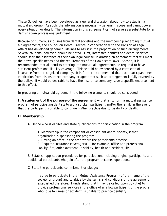These Guidelines have been developed as a general discussion about how to establish a mutual aid group. As such, the information is necessarily general in scope and cannot cover every situation or detail. The information in this agreement cannot serve as a substitute for a dentist's own professional judgment.

Because of numerous inquiries from dental societies and the membership regarding mutual aid agreements, the Council on Dental Practice in cooperation with the Division of Legal Affairs has developed general guidelines to assist in the preparation of such arrangements. Several cautions, however, should be noted. First, interested dentists and dental societies should seek the assistance of their own legal counsel in drafting an agreement that will meet their own specific needs and the requirements of their own state laws. Second, it is recommended that all dentists entering into mutual aid agreements be required to have sufficient professional liability coverage. This should be evidenced by a certificate of insurance from a recognized company. It is further recommended that each participant seek verification from his insurance company or agent that such an arrangement is fully covered by the policy. It would be desirable to have the insurance company issue a specific endorsement to this effect.

In preparing a mutual aid agreement, the following elements should be considered:

**I. A statement of the purpose of the agreement --** that is, to form a mutual assistance program of participating dentists to aid a stricken participant and/or the family in the event that the participant is unable to continue his/her practice due to disability or death.

## **II. Membership**

A. Define who is eligible and state qualifications for participation in the program.

1. Membership in the component or constituent dental society, if that organization is sponsoring the program.

2. Having an office in the area where the participants practice.

3. Required insurance coverage(s) **--** for example, office and professional liability, fire, office overhead, disability, health and accident, life.

B. Establish application procedures for participation, including original participants and additional participants who join after the program becomes operational.

C. State the participants' commitment or pledge:

I agree to participate in the (Mutual Assistance Program) of the (name of the society or group) and to abide by the terms and conditions of the agreement established therefore. I understand that I may be called upon by (title) to provide professional services in the office of a fellow participant of the program who, due to illness or accident, is unable to practice dentistry.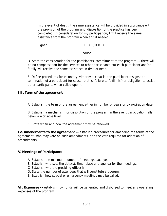In the event of death, the same assistance will be provided in accordance with the provision of the program until disposition of the practice has been completed. In consideration for my participation, I will receive the same assistance from the program when and if needed.

Signed: D.D.S./D.M.D.

## Spouse

D. State the consideration for the participants' commitment to the program **--** there will be no compensation for the services to other participants but each participant and/or family will receive the same assistance in time of need.

E. Define procedures for voluntary withdrawal (that is, the participant resigns) or termination of a participant for cause (that is, failure to fulfill his/her obligation to assist other participants when called upon).

## **III. Term of the agreement**

A. Establish the term of the agreement either in number of years or by expiration date.

B. Establish a mechanism for dissolution of the program in the event participation falls below a workable level.

C. State when and how the agreement may be renewed.

**IV. Amendments to the agreement --** establish procedures for amending the terms of the agreement, who may vote on such amendments, and the vote required for adoption of amendments.

# **V. Meetings of Participants**

- A. Establish the minimum number of meetings each year.
- B. Establish who sets the date(s), time, place and agenda for the meetings.
- C. Establish who the presiding officer is.
- D. State the number of attendees that will constitute a quorum.
- E. Establish how special or emergency meetings may be called.

**VI. Expenses --** establish how funds will be generated and disbursed to meet any operating expenses of the program.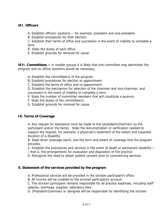## **VII. Officers**

- A. Establish officers' positions -- for example, president and vice-president.
- B. Establish procedures for their election.

C. Establish their terms of office and succession in the event of inability to complete a term.

- D. State the duties of each office.
- E. Establish grounds for removal for cause.

**VIII. Committees --** in smaller groups it is likely that one committee may administer the program and no officer positions would be necessary.

- A. Establish the committee(s) of the program.
- B. Establish procedures for election or appointment.
- C. Establish the terms of office and re-appointment.

D. Establish the mechanism for selection of the chairman and vice-chairman, and succession in the event of inability to complete a term.

- E. State the number of committee members that will constitute a quorum.
- F. State the duties of the committee(s).
- G. Establish grounds for removal for cause.

## **IX. Terms of Coverage**

A. Any request for assistance must be made to the (president/chairman) by the participant and/or the family. State the documentation or verification needed to support the request, for example, a physician's statement of the extent and expected duration of a disability.

B. State when coverage starts, and the term and extent of coverage that the program provides.

C. Establish the procedures and services in the event of death or permanent disability **-**

**-** that is, the arrangements for evaluation and disposition of the practice.

D. Recognize the need to obtain patient consent prior to commencing services.

## **X. Statement of the services provided by the program**

A. Professional services will be provided in the stricken participant's office.

B. All income will be credited to the stricken participant's account.

C. The stricken participant remains responsible for all practice expenses, including staff salaries, overhead, supplies, laboratory fees.

D. (President/chairman) or designee will be responsible for identifying the stricken